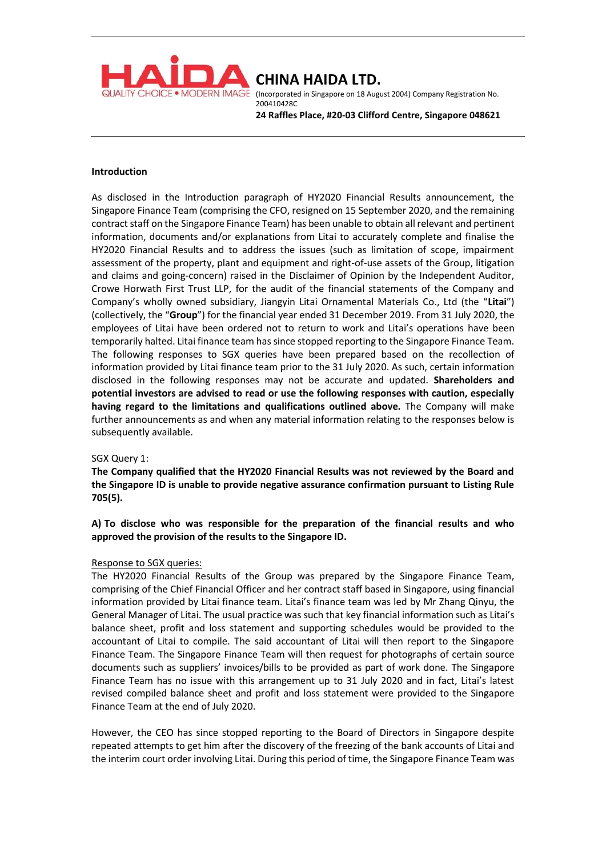

(Incorporated in Singapore on 18 August 2004) Company Registration No. 200410428C

**24 Raffles Place, #20-03 Clifford Centre, Singapore 048621**

### **Introduction**

As disclosed in the Introduction paragraph of HY2020 Financial Results announcement, the Singapore Finance Team (comprising the CFO, resigned on 15 September 2020, and the remaining contract staff on the Singapore Finance Team) has been unable to obtain all relevant and pertinent information, documents and/or explanations from Litai to accurately complete and finalise the HY2020 Financial Results and to address the issues (such as limitation of scope, impairment assessment of the property, plant and equipment and right-of-use assets of the Group, litigation and claims and going-concern) raised in the Disclaimer of Opinion by the Independent Auditor, Crowe Horwath First Trust LLP, for the audit of the financial statements of the Company and Company's wholly owned subsidiary, Jiangyin Litai Ornamental Materials Co., Ltd (the "**Litai**") (collectively, the "**Group**") for the financial year ended 31 December 2019. From 31 July 2020, the employees of Litai have been ordered not to return to work and Litai's operations have been temporarily halted. Litai finance team has since stopped reporting to the Singapore Finance Team. The following responses to SGX queries have been prepared based on the recollection of information provided by Litai finance team prior to the 31 July 2020. As such, certain information disclosed in the following responses may not be accurate and updated. **Shareholders and potential investors are advised to read or use the following responses with caution, especially having regard to the limitations and qualifications outlined above.** The Company will make further announcements as and when any material information relating to the responses below is subsequently available.

# SGX Query 1:

**The Company qualified that the HY2020 Financial Results was not reviewed by the Board and the Singapore ID is unable to provide negative assurance confirmation pursuant to Listing Rule 705(5).** 

**A) To disclose who was responsible for the preparation of the financial results and who approved the provision of the results to the Singapore ID.** 

### Response to SGX queries:

The HY2020 Financial Results of the Group was prepared by the Singapore Finance Team, comprising of the Chief Financial Officer and her contract staff based in Singapore, using financial information provided by Litai finance team. Litai's finance team was led by Mr Zhang Qinyu, the General Manager of Litai. The usual practice was such that key financial information such as Litai's balance sheet, profit and loss statement and supporting schedules would be provided to the accountant of Litai to compile. The said accountant of Litai will then report to the Singapore Finance Team. The Singapore Finance Team will then request for photographs of certain source documents such as suppliers' invoices/bills to be provided as part of work done. The Singapore Finance Team has no issue with this arrangement up to 31 July 2020 and in fact, Litai's latest revised compiled balance sheet and profit and loss statement were provided to the Singapore Finance Team at the end of July 2020.

However, the CEO has since stopped reporting to the Board of Directors in Singapore despite repeated attempts to get him after the discovery of the freezing of the bank accounts of Litai and the interim court order involving Litai. During this period of time, the Singapore Finance Team was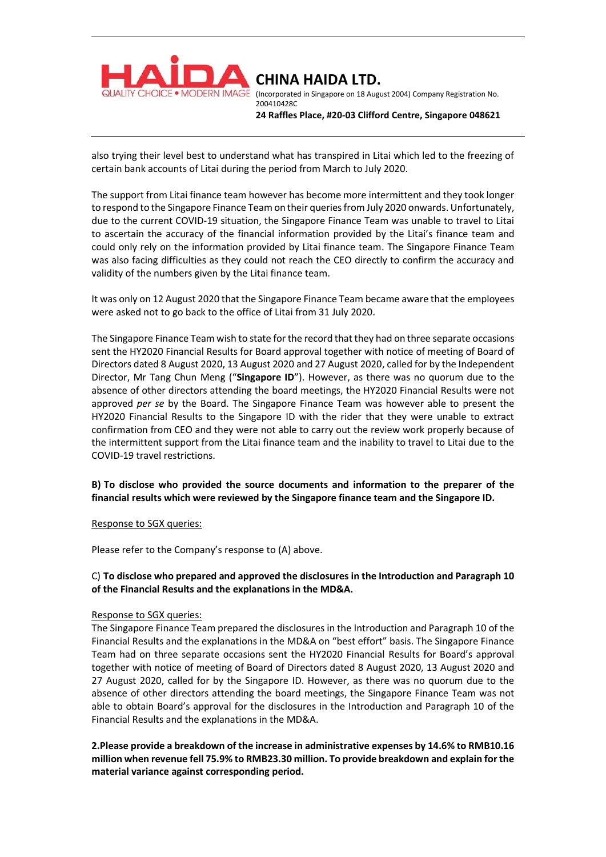

(Incorporated in Singapore on 18 August 2004) Company Registration No. 200410428C

**24 Raffles Place, #20-03 Clifford Centre, Singapore 048621**

also trying their level best to understand what has transpired in Litai which led to the freezing of certain bank accounts of Litai during the period from March to July 2020.

The support from Litai finance team however has become more intermittent and they took longer to respond to the Singapore Finance Team on their queriesfrom July 2020 onwards. Unfortunately, due to the current COVID-19 situation, the Singapore Finance Team was unable to travel to Litai to ascertain the accuracy of the financial information provided by the Litai's finance team and could only rely on the information provided by Litai finance team. The Singapore Finance Team was also facing difficulties as they could not reach the CEO directly to confirm the accuracy and validity of the numbers given by the Litai finance team.

It was only on 12 August 2020 that the Singapore Finance Team became aware that the employees were asked not to go back to the office of Litai from 31 July 2020.

The Singapore Finance Team wish to state for the record that they had on three separate occasions sent the HY2020 Financial Results for Board approval together with notice of meeting of Board of Directors dated 8 August 2020, 13 August 2020 and 27 August 2020, called for by the Independent Director, Mr Tang Chun Meng ("**Singapore ID**"). However, as there was no quorum due to the absence of other directors attending the board meetings, the HY2020 Financial Results were not approved *per se* by the Board. The Singapore Finance Team was however able to present the HY2020 Financial Results to the Singapore ID with the rider that they were unable to extract confirmation from CEO and they were not able to carry out the review work properly because of the intermittent support from the Litai finance team and the inability to travel to Litai due to the COVID-19 travel restrictions.

# **B) To disclose who provided the source documents and information to the preparer of the financial results which were reviewed by the Singapore finance team and the Singapore ID.**

### Response to SGX queries:

Please refer to the Company's response to (A) above.

## C) **To disclose who prepared and approved the disclosures in the Introduction and Paragraph 10 of the Financial Results and the explanations in the MD&A.**

### Response to SGX queries:

The Singapore Finance Team prepared the disclosures in the Introduction and Paragraph 10 of the Financial Results and the explanations in the MD&A on "best effort" basis. The Singapore Finance Team had on three separate occasions sent the HY2020 Financial Results for Board's approval together with notice of meeting of Board of Directors dated 8 August 2020, 13 August 2020 and 27 August 2020, called for by the Singapore ID. However, as there was no quorum due to the absence of other directors attending the board meetings, the Singapore Finance Team was not able to obtain Board's approval for the disclosures in the Introduction and Paragraph 10 of the Financial Results and the explanations in the MD&A.

**2.Please provide a breakdown of the increase in administrative expenses by 14.6% to RMB10.16 million when revenue fell 75.9% to RMB23.30 million. To provide breakdown and explain for the material variance against corresponding period.**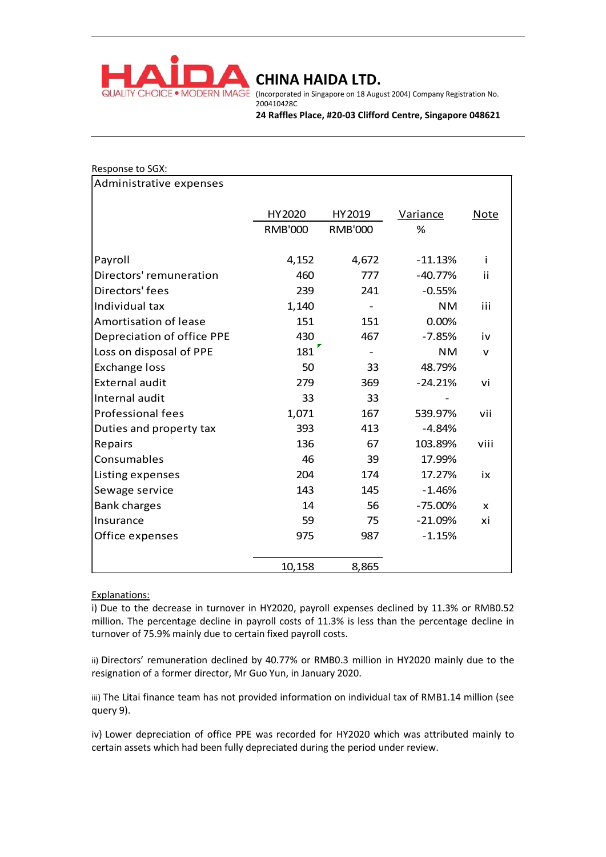

• MODERN IMAGE (Incorporated in Singapore on 18 August 2004) Company Registration No. 200410428C

**24 Raffles Place, #20-03 Clifford Centre, Singapore 048621**

| Response to SGX:           |                                                      |                          |           |              |
|----------------------------|------------------------------------------------------|--------------------------|-----------|--------------|
| Administrative expenses    |                                                      |                          |           |              |
|                            | HY2020                                               | HY2019                   | Variance  | <b>Note</b>  |
|                            | <b>RMB'000</b>                                       | <b>RMB'000</b>           | %         |              |
| Payroll                    | 4,152                                                | 4,672                    | $-11.13%$ | j.           |
| Directors' remuneration    | 460                                                  | 777                      | $-40.77%$ | ii           |
| Directors' fees            | 239                                                  | 241                      | $-0.55%$  |              |
| Individual tax             | 1,140                                                | $\overline{\phantom{a}}$ | <b>NM</b> | iii          |
| Amortisation of lease      | 151                                                  | 151                      | 0.00%     |              |
| Depreciation of office PPE | 430                                                  | 467                      | $-7.85%$  | iv           |
| Loss on disposal of PPE    | $181$ <sup><math>\overline{\phantom{a}}</math></sup> | $\overline{\phantom{a}}$ | <b>NM</b> | $\mathsf{v}$ |
| <b>Exchange loss</b>       | 50                                                   | 33                       | 48.79%    |              |
| <b>External audit</b>      | 279                                                  | 369                      | $-24.21%$ | vi           |
| Internal audit             | 33                                                   | 33                       |           |              |
| <b>Professional fees</b>   | 1,071                                                | 167                      | 539.97%   | vii          |
| Duties and property tax    | 393                                                  | 413                      | $-4.84%$  |              |
| Repairs                    | 136                                                  | 67                       | 103.89%   | viii         |
| Consumables                | 46                                                   | 39                       | 17.99%    |              |
| Listing expenses           | 204                                                  | 174                      | 17.27%    | ix           |
| Sewage service             | 143                                                  | 145                      | $-1.46%$  |              |
| <b>Bank charges</b>        | 14                                                   | 56                       | $-75.00%$ | X            |
| Insurance                  | 59                                                   | 75                       | $-21.09%$ | хi           |
| Office expenses            | 975                                                  | 987                      | $-1.15%$  |              |
|                            | 10,158                                               | 8,865                    |           |              |
|                            |                                                      |                          |           |              |

### Explanations:

i) Due to the decrease in turnover in HY2020, payroll expenses declined by 11.3% or RMB0.52 million. The percentage decline in payroll costs of 11.3% is less than the percentage decline in turnover of 75.9% mainly due to certain fixed payroll costs.

ii) Directors' remuneration declined by 40.77% or RMB0.3 million in HY2020 mainly due to the resignation of a former director, Mr Guo Yun, in January 2020.

iii) The Litai finance team has not provided information on individual tax of RMB1.14 million (see query 9).

iv) Lower depreciation of office PPE was recorded for HY2020 which was attributed mainly to certain assets which had been fully depreciated during the period under review.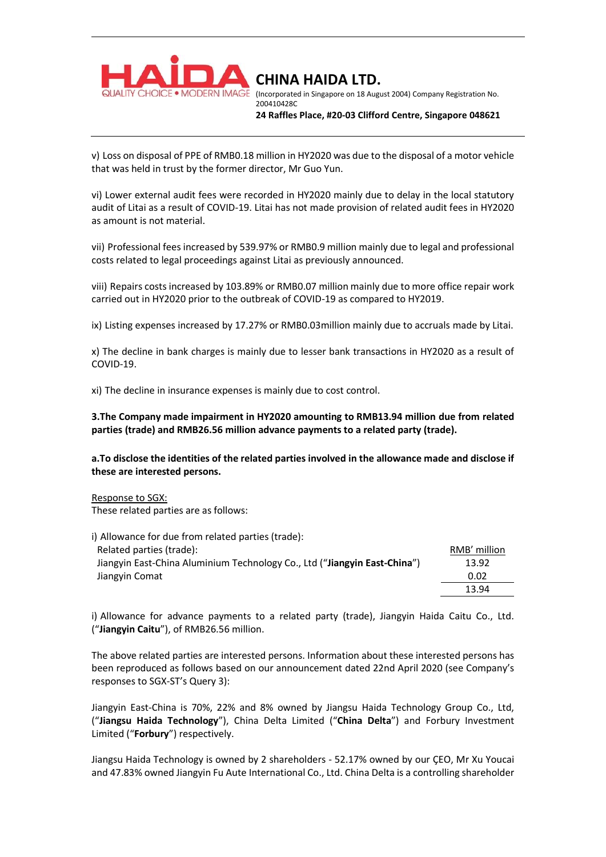

(Incorporated in Singapore on 18 August 2004) Company Registration No. 200410428C

**24 Raffles Place, #20-03 Clifford Centre, Singapore 048621**

v) Loss on disposal of PPE of RMB0.18 million in HY2020 was due to the disposal of a motor vehicle that was held in trust by the former director, Mr Guo Yun.

vi) Lower external audit fees were recorded in HY2020 mainly due to delay in the local statutory audit of Litai as a result of COVID-19. Litai has not made provision of related audit fees in HY2020 as amount is not material.

vii) Professional fees increased by 539.97% or RMB0.9 million mainly due to legal and professional costs related to legal proceedings against Litai as previously announced.

viii) Repairs costs increased by 103.89% or RMB0.07 million mainly due to more office repair work carried out in HY2020 prior to the outbreak of COVID-19 as compared to HY2019.

ix) Listing expenses increased by 17.27% or RMB0.03million mainly due to accruals made by Litai.

x) The decline in bank charges is mainly due to lesser bank transactions in HY2020 as a result of COVID-19.

xi) The decline in insurance expenses is mainly due to cost control.

**3.The Company made impairment in HY2020 amounting to RMB13.94 million due from related parties (trade) and RMB26.56 million advance payments to a related party (trade).** 

**a.To disclose the identities of the related parties involved in the allowance made and disclose if these are interested persons.** 

Response to SGX:

These related parties are as follows:

| i) Allowance for due from related parties (trade):                        |              |
|---------------------------------------------------------------------------|--------------|
| Related parties (trade):                                                  | RMB' million |
| Jiangyin East-China Aluminium Technology Co., Ltd ("Jiangyin East-China") | 13.92        |
| Jiangyin Comat                                                            | 0.02         |
|                                                                           | 13.94        |

i) Allowance for advance payments to a related party (trade), Jiangyin Haida Caitu Co., Ltd. ("**Jiangyin Caitu**"), of RMB26.56 million.

The above related parties are interested persons. Information about these interested persons has been reproduced as follows based on our announcement dated 22nd April 2020 (see Company's responses to SGX-ST's Query 3):

Jiangyin East-China is 70%, 22% and 8% owned by Jiangsu Haida Technology Group Co., Ltd, ("**Jiangsu Haida Technology**"), China Delta Limited ("**China Delta**") and Forbury Investment Limited ("**Forbury**") respectively.

Jiangsu Haida Technology is owned by 2 shareholders - 52.17% owned by our ÇEO, Mr Xu Youcai and 47.83% owned Jiangyin Fu Aute International Co., Ltd. China Delta is a controlling shareholder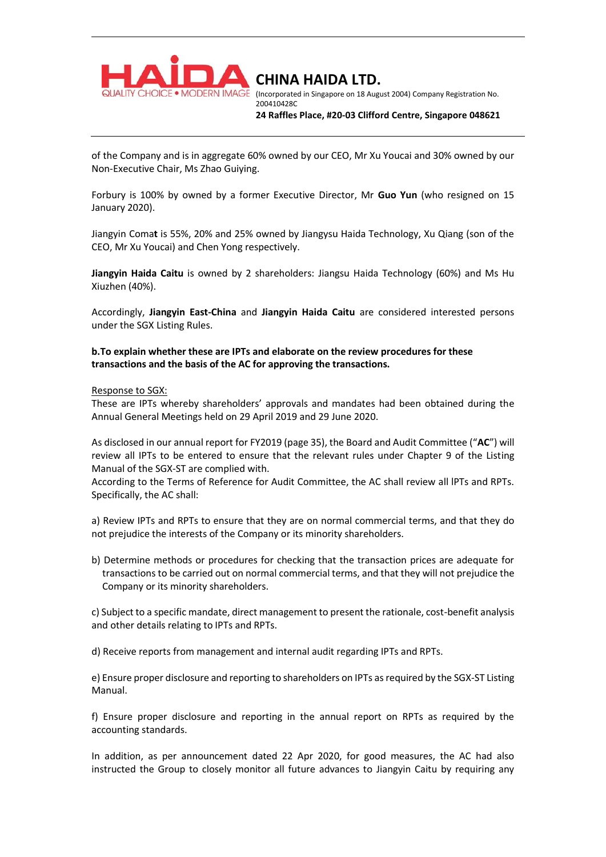

(Incorporated in Singapore on 18 August 2004) Company Registration No. 200410428C

**24 Raffles Place, #20-03 Clifford Centre, Singapore 048621**

of the Company and is in aggregate 60% owned by our CEO, Mr Xu Youcai and 30% owned by our Non-Executive Chair, Ms Zhao Guiying.

Forbury is 100% by owned by a former Executive Director, Mr **Guo Yun** (who resigned on 15 January 2020).

Jiangyin Coma**t** is 55%, 20% and 25% owned by Jiangysu Haida Technology, Xu Qiang (son of the CEO, Mr Xu Youcai) and Chen Yong respectively.

**Jiangyin Haida Caitu** is owned by 2 shareholders: Jiangsu Haida Technology (60%) and Ms Hu Xiuzhen (40%).

Accordingly, **Jiangyin East-China** and **Jiangyin Haida Caitu** are considered interested persons under the SGX Listing Rules.

**b.To explain whether these are IPTs and elaborate on the review procedures for these transactions and the basis of the AC for approving the transactions.** 

Response to SGX:

These are IPTs whereby shareholders' approvals and mandates had been obtained during the Annual General Meetings held on 29 April 2019 and 29 June 2020.

As disclosed in our annual report for FY2019 (page 35), the Board and Audit Committee ("**AC**") will review all IPTs to be entered to ensure that the relevant rules under Chapter 9 of the Listing Manual of the SGX-ST are complied with.

According to the Terms of Reference for Audit Committee, the AC shall review all lPTs and RPTs. Specifically, the AC shall:

a) Review IPTs and RPTs to ensure that they are on normal commercial terms, and that they do not prejudice the interests of the Company or its minority shareholders.

b) Determine methods or procedures for checking that the transaction prices are adequate for transactions to be carried out on normal commercial terms, and that they will not prejudice the Company or its minority shareholders.

c) Subject to a specific mandate, direct management to present the rationale, cost-benefit analysis and other details relating to IPTs and RPTs.

d) Receive reports from management and internal audit regarding IPTs and RPTs.

e) Ensure proper disclosure and reporting to shareholders on IPTs as required by the SGX-ST Listing Manual.

f) Ensure proper disclosure and reporting in the annual report on RPTs as required by the accounting standards.

In addition, as per announcement dated 22 Apr 2020, for good measures, the AC had also instructed the Group to closely monitor all future advances to Jiangyin Caitu by requiring any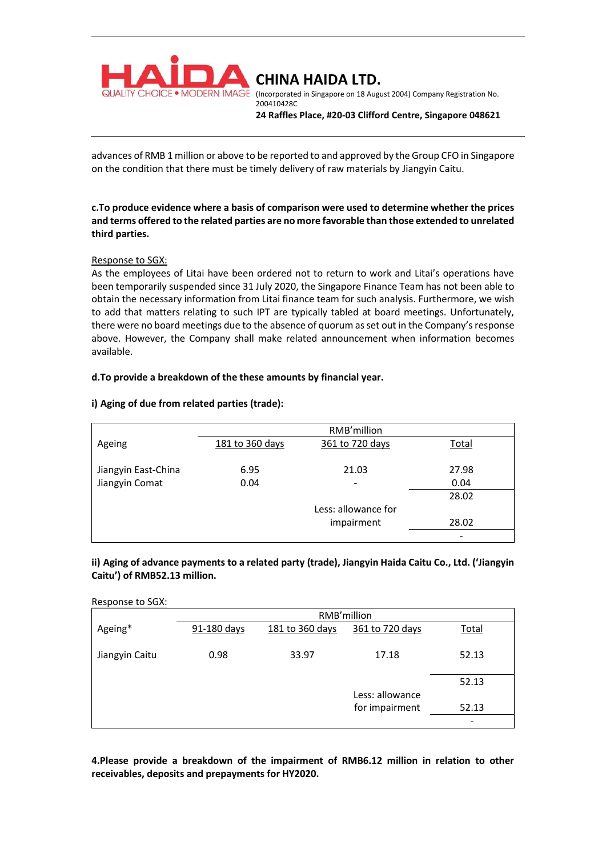

(Incorporated in Singapore on 18 August 2004) Company Registration No. 200410428C

**24 Raffles Place, #20-03 Clifford Centre, Singapore 048621**

advances of RMB 1 million or above to be reported to and approved by the Group CFO in Singapore on the condition that there must be timely delivery of raw materials by Jiangyin Caitu.

# **c.To produce evidence where a basis of comparison were used to determine whether the prices and terms offered to the related parties are no more favorable than those extended to unrelated third parties.**

# Response to SGX:

As the employees of Litai have been ordered not to return to work and Litai's operations have been temporarily suspended since 31 July 2020, the Singapore Finance Team has not been able to obtain the necessary information from Litai finance team for such analysis. Furthermore, we wish to add that matters relating to such IPT are typically tabled at board meetings. Unfortunately, there were no board meetings due to the absence of quorum as set out in the Company's response above. However, the Company shall make related announcement when information becomes available.

# **d.To provide a breakdown of the these amounts by financial year.**

# **i) Aging of due from related parties (trade):**

|                     | RMB'million     |                          |                          |  |
|---------------------|-----------------|--------------------------|--------------------------|--|
| Ageing              | 181 to 360 days | 361 to 720 days          | <b>Total</b>             |  |
|                     |                 |                          |                          |  |
| Jiangyin East-China | 6.95            | 21.03                    | 27.98                    |  |
| Jiangyin Comat      | 0.04            | $\overline{\phantom{a}}$ |                          |  |
|                     |                 |                          | 28.02                    |  |
|                     |                 | Less: allowance for      |                          |  |
|                     |                 | impairment               | 28.02                    |  |
|                     |                 |                          | $\overline{\phantom{0}}$ |  |

# **ii) Aging of advance payments to a related party (trade), Jiangyin Haida Caitu Co., Ltd. ('Jiangyin Caitu') of RMB52.13 million.**

### Response to SGX:

|                | RMB'million |                 |                 |       |  |
|----------------|-------------|-----------------|-----------------|-------|--|
| Ageing*        | 91-180 days | 181 to 360 days | 361 to 720 days | Total |  |
| Jiangyin Caitu | 0.98        | 33.97           | 17.18           | 52.13 |  |
|                |             |                 |                 | 52.13 |  |
|                |             |                 | Less: allowance |       |  |
|                |             |                 | for impairment  | 52.13 |  |
|                |             |                 |                 |       |  |

# **4.Please provide a breakdown of the impairment of RMB6.12 million in relation to other receivables, deposits and prepayments for HY2020.**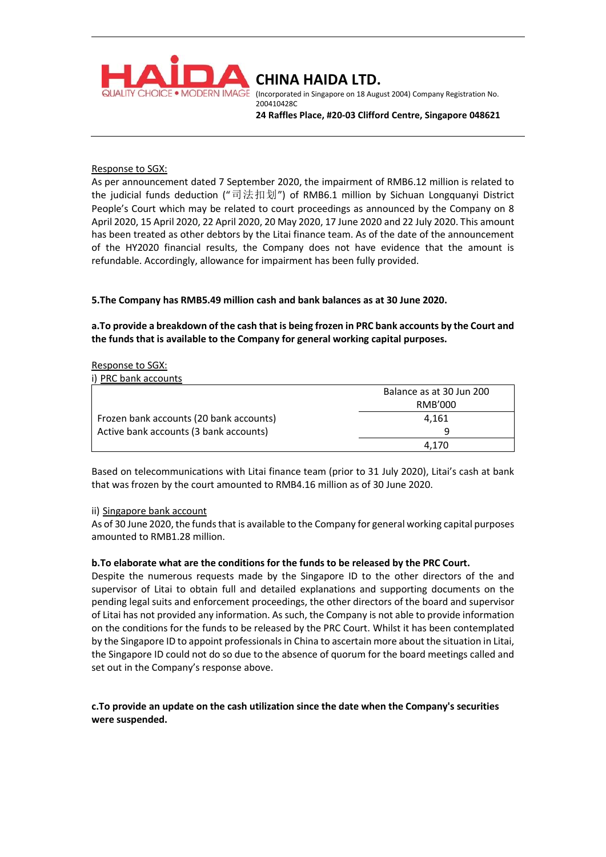

(Incorporated in Singapore on 18 August 2004) Company Registration No. 200410428C

**24 Raffles Place, #20-03 Clifford Centre, Singapore 048621**

### Response to SGX:

As per announcement dated 7 September 2020, the impairment of RMB6.12 million is related to the judicial funds deduction ("司法扣划") of RMB6.1 million by Sichuan Longquanyi District People's Court which may be related to court proceedings as announced by the Company on 8 April 2020, 15 April 2020, 22 April 2020, 20 May 2020, 17 June 2020 and 22 July 2020. This amount has been treated as other debtors by the Litai finance team. As of the date of the announcement of the HY2020 financial results, the Company does not have evidence that the amount is refundable. Accordingly, allowance for impairment has been fully provided.

# **5.The Company has RMB5.49 million cash and bank balances as at 30 June 2020.**

**a.To provide a breakdown of the cash that is being frozen in PRC bank accounts by the Court and the funds that is available to the Company for general working capital purposes.** 

### Response to SGX:

i) PRC bank accounts

|                                         | Balance as at 30 Jun 200 |
|-----------------------------------------|--------------------------|
|                                         | RMB'000                  |
| Frozen bank accounts (20 bank accounts) | 4.161                    |
| Active bank accounts (3 bank accounts)  | u                        |
|                                         | 4.170                    |

Based on telecommunications with Litai finance team (prior to 31 July 2020), Litai's cash at bank that was frozen by the court amounted to RMB4.16 million as of 30 June 2020.

### ii) Singapore bank account

As of 30 June 2020, the funds that is available to the Company for general working capital purposes amounted to RMB1.28 million.

### **b.To elaborate what are the conditions for the funds to be released by the PRC Court.**

Despite the numerous requests made by the Singapore ID to the other directors of the and supervisor of Litai to obtain full and detailed explanations and supporting documents on the pending legal suits and enforcement proceedings, the other directors of the board and supervisor of Litai has not provided any information. As such, the Company is not able to provide information on the conditions for the funds to be released by the PRC Court. Whilst it has been contemplated by the Singapore ID to appoint professionals in China to ascertain more about the situation in Litai, the Singapore ID could not do so due to the absence of quorum for the board meetings called and set out in the Company's response above.

# **c.To provide an update on the cash utilization since the date when the Company's securities were suspended.**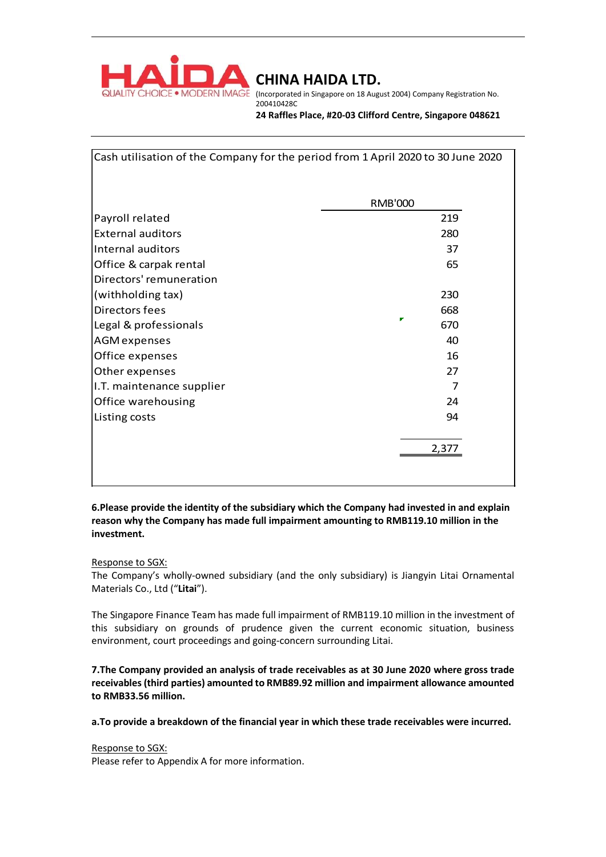

(Incorporated in Singapore on 18 August 2004) Company Registration No. 200410428C

**24 Raffles Place, #20-03 Clifford Centre, Singapore 048621**

|                           | Cash utilisation of the Company for the period from 1 April 2020 to 30 June 2020 |
|---------------------------|----------------------------------------------------------------------------------|
|                           | <b>RMB'000</b>                                                                   |
| Payroll related           | 219                                                                              |
| <b>External auditors</b>  | 280                                                                              |
| Internal auditors         | 37                                                                               |
| Office & carpak rental    | 65                                                                               |
| Directors' remuneration   |                                                                                  |
| (withholding tax)         | 230                                                                              |
| Directors fees            | 668                                                                              |
| Legal & professionals     | 670                                                                              |
| <b>AGM</b> expenses       | 40                                                                               |
| Office expenses           | 16                                                                               |
| Other expenses            | 27                                                                               |
| I.T. maintenance supplier | 7                                                                                |
| Office warehousing        | 24                                                                               |
| Listing costs             | 94                                                                               |
|                           |                                                                                  |
|                           | 2,377                                                                            |
|                           |                                                                                  |
|                           |                                                                                  |

# **6.Please provide the identity of the subsidiary which the Company had invested in and explain reason why the Company has made full impairment amounting to RMB119.10 million in the investment.**

# Response to SGX:

The Company's wholly-owned subsidiary (and the only subsidiary) is Jiangyin Litai Ornamental Materials Co., Ltd ("**Litai**").

The Singapore Finance Team has made full impairment of RMB119.10 million in the investment of this subsidiary on grounds of prudence given the current economic situation, business environment, court proceedings and going-concern surrounding Litai.

**7.The Company provided an analysis of trade receivables as at 30 June 2020 where gross trade receivables (third parties) amounted to RMB89.92 million and impairment allowance amounted to RMB33.56 million.** 

**a.To provide a breakdown of the financial year in which these trade receivables were incurred.** 

Response to SGX: Please refer to Appendix A for more information.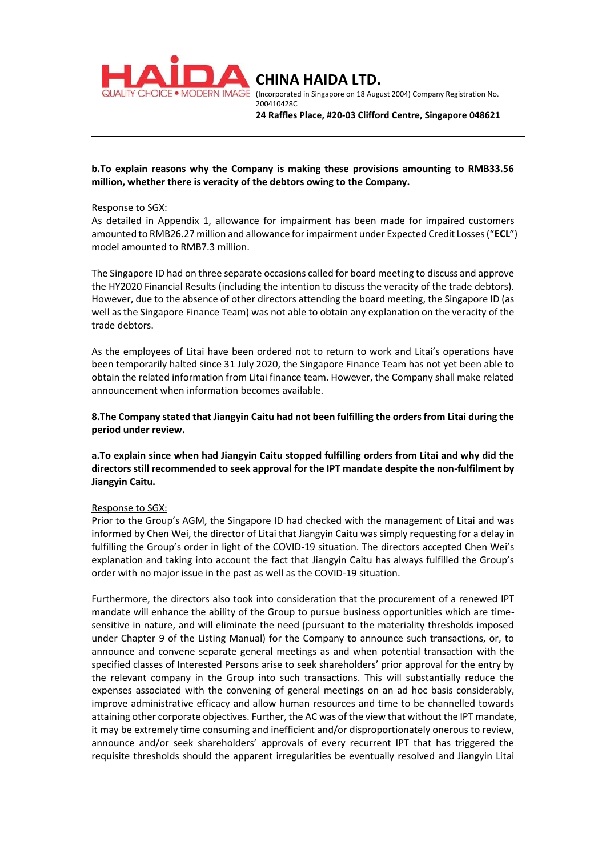

**CHINA HAIDA LTD.**  (Incorporated in Singapore on 18 August 2004) Company Registration No. 200410428C

**24 Raffles Place, #20-03 Clifford Centre, Singapore 048621**

## **b.To explain reasons why the Company is making these provisions amounting to RMB33.56 million, whether there is veracity of the debtors owing to the Company.**

### Response to SGX:

As detailed in Appendix 1, allowance for impairment has been made for impaired customers amounted to RMB26.27 million and allowance for impairment under Expected Credit Losses ("**ECL**") model amounted to RMB7.3 million.

The Singapore ID had on three separate occasions called for board meeting to discuss and approve the HY2020 Financial Results (including the intention to discuss the veracity of the trade debtors). However, due to the absence of other directors attending the board meeting, the Singapore ID (as well as the Singapore Finance Team) was not able to obtain any explanation on the veracity of the trade debtors.

As the employees of Litai have been ordered not to return to work and Litai's operations have been temporarily halted since 31 July 2020, the Singapore Finance Team has not yet been able to obtain the related information from Litai finance team. However, the Company shall make related announcement when information becomes available.

**8.The Company stated that Jiangyin Caitu had not been fulfilling the orders from Litai during the period under review.** 

**a.To explain since when had Jiangyin Caitu stopped fulfilling orders from Litai and why did the directors still recommended to seek approval for the IPT mandate despite the non-fulfilment by Jiangyin Caitu.** 

### Response to SGX:

Prior to the Group's AGM, the Singapore ID had checked with the management of Litai and was informed by Chen Wei, the director of Litai that Jiangyin Caitu was simply requesting for a delay in fulfilling the Group's order in light of the COVID-19 situation. The directors accepted Chen Wei's explanation and taking into account the fact that Jiangyin Caitu has always fulfilled the Group's order with no major issue in the past as well as the COVID-19 situation.

Furthermore, the directors also took into consideration that the procurement of a renewed IPT mandate will enhance the ability of the Group to pursue business opportunities which are timesensitive in nature, and will eliminate the need (pursuant to the materiality thresholds imposed under Chapter 9 of the Listing Manual) for the Company to announce such transactions, or, to announce and convene separate general meetings as and when potential transaction with the specified classes of Interested Persons arise to seek shareholders' prior approval for the entry by the relevant company in the Group into such transactions. This will substantially reduce the expenses associated with the convening of general meetings on an ad hoc basis considerably, improve administrative efficacy and allow human resources and time to be channelled towards attaining other corporate objectives. Further, the AC was of the view that without the IPT mandate, it may be extremely time consuming and inefficient and/or disproportionately onerous to review, announce and/or seek shareholders' approvals of every recurrent IPT that has triggered the requisite thresholds should the apparent irregularities be eventually resolved and Jiangyin Litai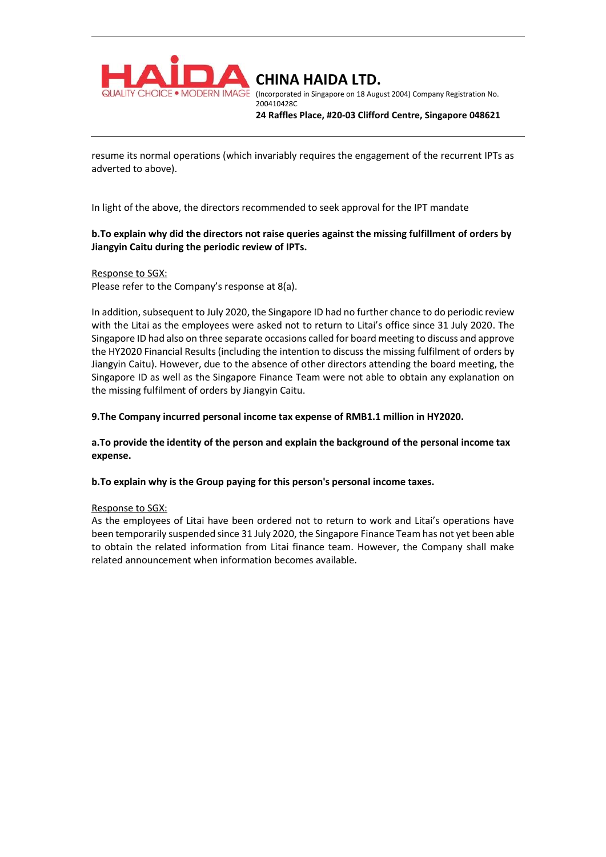

**CHINA HAIDA LTD.**  (Incorporated in Singapore on 18 August 2004) Company Registration No.

200410428C

**24 Raffles Place, #20-03 Clifford Centre, Singapore 048621**

resume its normal operations (which invariably requires the engagement of the recurrent IPTs as adverted to above).

In light of the above, the directors recommended to seek approval for the IPT mandate

# **b.To explain why did the directors not raise queries against the missing fulfillment of orders by Jiangyin Caitu during the periodic review of IPTs.**

## Response to SGX:

Please refer to the Company's response at 8(a).

In addition, subsequent to July 2020, the Singapore ID had no further chance to do periodic review with the Litai as the employees were asked not to return to Litai's office since 31 July 2020. The Singapore ID had also on three separate occasions called for board meeting to discuss and approve the HY2020 Financial Results (including the intention to discuss the missing fulfilment of orders by Jiangyin Caitu). However, due to the absence of other directors attending the board meeting, the Singapore ID as well as the Singapore Finance Team were not able to obtain any explanation on the missing fulfilment of orders by Jiangyin Caitu.

**9.The Company incurred personal income tax expense of RMB1.1 million in HY2020.** 

**a.To provide the identity of the person and explain the background of the personal income tax expense.** 

**b.To explain why is the Group paying for this person's personal income taxes.** 

### Response to SGX:

As the employees of Litai have been ordered not to return to work and Litai's operations have been temporarily suspended since 31 July 2020, the Singapore Finance Team has not yet been able to obtain the related information from Litai finance team. However, the Company shall make related announcement when information becomes available.